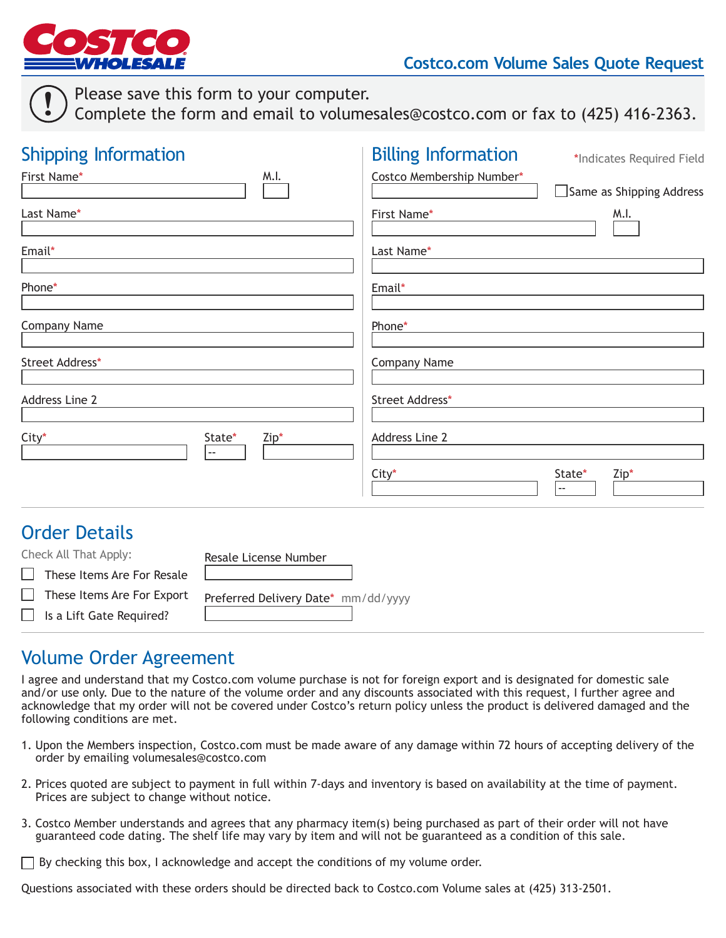

!

## **Costco.com Volume Sales Quote Request**

Please save this form to your computer.

Complete the form and email to volumesales@costco.com or fax to (425) 416-2363.

| <b>Shipping Information</b>                                                 |                                     | <b>Billing Information</b> | *Indicates Required Field                  |
|-----------------------------------------------------------------------------|-------------------------------------|----------------------------|--------------------------------------------|
| First Name*                                                                 | M.I.                                | Costco Membership Number*  | Same as Shipping Address                   |
| Last Name*                                                                  |                                     | First Name*                | M.I.                                       |
| Email*                                                                      |                                     | Last Name*                 |                                            |
| Phone*                                                                      |                                     | Email*                     |                                            |
| <b>Company Name</b>                                                         |                                     | Phone*                     |                                            |
| <b>Street Address*</b>                                                      |                                     | <b>Company Name</b>        |                                            |
| Address Line 2                                                              |                                     | Street Address*            |                                            |
| City*                                                                       | State*<br>Zip*                      | <b>Address Line 2</b>      |                                            |
|                                                                             |                                     | City*                      | State*<br>Zip*<br>$\overline{\phantom{a}}$ |
| <b>Order Details</b>                                                        |                                     |                            |                                            |
| Check All That Apply:<br>These Items Are For Resale<br>$\Box$               | Resale License Number               |                            |                                            |
| These Items Are For Export<br>$\vert \ \ \vert$<br>Is a Lift Gate Required? | Preferred Delivery Date* mm/dd/yyyy |                            |                                            |

## Volume Order Agreement

I agree and understand that my Costco.com volume purchase is not for foreign export and is designated for domestic sale and/or use only. Due to the nature of the volume order and any discounts associated with this request, I further agree and acknowledge that my order will not be covered under Costco's return policy unless the product is delivered damaged and the following conditions are met.

- 1. Upon the Members inspection, Costco.com must be made aware of any damage within 72 hours of accepting delivery of the order by emailing volumesales@costco.com
- 2. Prices quoted are subject to payment in full within 7-days and inventory is based on availability at the time of payment. Prices are subject to change without notice.
- 3. Costco Member understands and agrees that any pharmacy item(s) being purchased as part of their order will not have guaranteed code dating. The shelf life may vary by item and will not be guaranteed as a condition of this sale.
- $\Box$  By checking this box, I acknowledge and accept the conditions of my volume order.

Questions associated with these orders should be directed back to Costco.com Volume sales at (425) 313-2501.